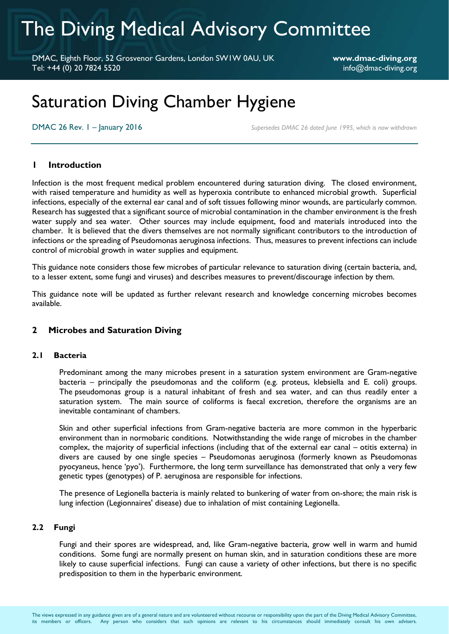# The Diving Medical Advisory Committee

DMAC, Eighth Floor, 52 Grosvenor Gardens, London SW1W 0AU, UK **www.dmac-diving.org** Tel: +44 (0) 20 7824 5520 info@dmac-diving.org

# Saturation Diving Chamber Hygiene

DMAC 26 Rev.  $I -$  **January 2016 Supersedes DMAC 26 dated June 1995, which is now withdrawn** 

# **1 Introduction**

Infection is the most frequent medical problem encountered during saturation diving. The closed environment, with raised temperature and humidity as well as hyperoxia contribute to enhanced microbial growth. Superficial infections, especially of the external ear canal and of soft tissues following minor wounds, are particularly common. Research has suggested that a significant source of microbial contamination in the chamber environment is the fresh water supply and sea water. Other sources may include equipment, food and materials introduced into the chamber. It is believed that the divers themselves are not normally significant contributors to the introduction of infections or the spreading of Pseudomonas aeruginosa infections. Thus, measures to prevent infections can include control of microbial growth in water supplies and equipment.

This guidance note considers those few microbes of particular relevance to saturation diving (certain bacteria, and, to a lesser extent, some fungi and viruses) and describes measures to prevent/discourage infection by them.

This guidance note will be updated as further relevant research and knowledge concerning microbes becomes available.

# **2 Microbes and Saturation Diving**

#### **2.1 Bacteria**

Predominant among the many microbes present in a saturation system environment are Gram-negative bacteria – principally the pseudomonas and the coliform (e.g. proteus, klebsiella and E. coli) groups. The pseudomonas group is a natural inhabitant of fresh and sea water, and can thus readily enter a saturation system. The main source of coliforms is faecal excretion, therefore the organisms are an inevitable contaminant of chambers.

Skin and other superficial infections from Gram-negative bacteria are more common in the hyperbaric environment than in normobaric conditions. Notwithstanding the wide range of microbes in the chamber complex, the majority of superficial infections (including that of the external ear canal – otitis externa) in divers are caused by one single species – Pseudomonas aeruginosa (formerly known as Pseudomonas pyocyaneus, hence 'pyo'). Furthermore, the long term surveillance has demonstrated that only a very few genetic types (genotypes) of P. aeruginosa are responsible for infections.

The presence of Legionella bacteria is mainly related to bunkering of water from on-shore; the main risk is lung infection (Legionnaires' disease) due to inhalation of mist containing Legionella.

#### **2.2 Fungi**

Fungi and their spores are widespread, and, like Gram-negative bacteria, grow well in warm and humid conditions. Some fungi are normally present on human skin, and in saturation conditions these are more likely to cause superficial infections. Fungi can cause a variety of other infections, but there is no specific predisposition to them in the hyperbaric environment.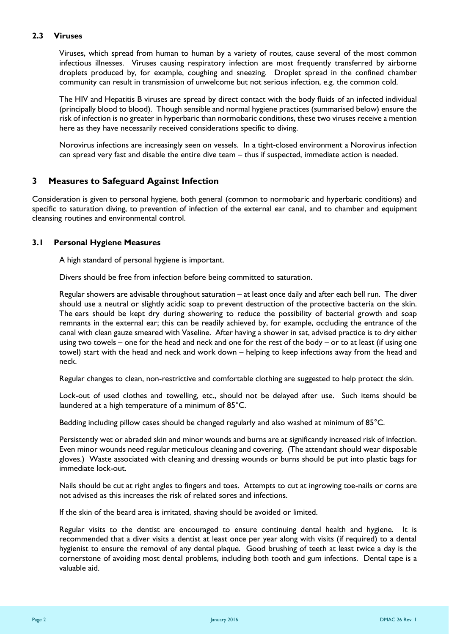# **2.3 Viruses**

Viruses, which spread from human to human by a variety of routes, cause several of the most common infectious illnesses. Viruses causing respiratory infection are most frequently transferred by airborne droplets produced by, for example, coughing and sneezing. Droplet spread in the confined chamber community can result in transmission of unwelcome but not serious infection, e.g. the common cold.

The HIV and Hepatitis B viruses are spread by direct contact with the body fluids of an infected individual (principally blood to blood). Though sensible and normal hygiene practices (summarised below) ensure the risk of infection is no greater in hyperbaric than normobaric conditions, these two viruses receive a mention here as they have necessarily received considerations specific to diving.

Norovirus infections are increasingly seen on vessels. In a tight-closed environment a Norovirus infection can spread very fast and disable the entire dive team – thus if suspected, immediate action is needed.

# **3 Measures to Safeguard Against Infection**

Consideration is given to personal hygiene, both general (common to normobaric and hyperbaric conditions) and specific to saturation diving, to prevention of infection of the external ear canal, and to chamber and equipment cleansing routines and environmental control.

#### **3.1 Personal Hygiene Measures**

A high standard of personal hygiene is important.

Divers should be free from infection before being committed to saturation.

Regular showers are advisable throughout saturation – at least once daily and after each bell run. The diver should use a neutral or slightly acidic soap to prevent destruction of the protective bacteria on the skin. The ears should be kept dry during showering to reduce the possibility of bacterial growth and soap remnants in the external ear; this can be readily achieved by, for example, occluding the entrance of the canal with clean gauze smeared with Vaseline. After having a shower in sat, advised practice is to dry either using two towels – one for the head and neck and one for the rest of the body – or to at least (if using one towel) start with the head and neck and work down – helping to keep infections away from the head and neck.

Regular changes to clean, non-restrictive and comfortable clothing are suggested to help protect the skin.

Lock-out of used clothes and towelling, etc., should not be delayed after use. Such items should be laundered at a high temperature of a minimum of 85°C.

Bedding including pillow cases should be changed regularly and also washed at minimum of 85°C.

Persistently wet or abraded skin and minor wounds and burns are at significantly increased risk of infection. Even minor wounds need regular meticulous cleaning and covering. (The attendant should wear disposable gloves.) Waste associated with cleaning and dressing wounds or burns should be put into plastic bags for immediate lock-out.

Nails should be cut at right angles to fingers and toes. Attempts to cut at ingrowing toe-nails or corns are not advised as this increases the risk of related sores and infections.

If the skin of the beard area is irritated, shaving should be avoided or limited.

Regular visits to the dentist are encouraged to ensure continuing dental health and hygiene. It is recommended that a diver visits a dentist at least once per year along with visits (if required) to a dental hygienist to ensure the removal of any dental plaque. Good brushing of teeth at least twice a day is the cornerstone of avoiding most dental problems, including both tooth and gum infections. Dental tape is a valuable aid.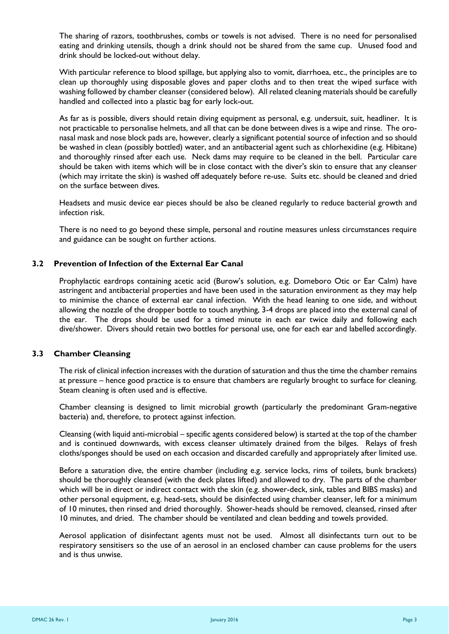The sharing of razors, toothbrushes, combs or towels is not advised. There is no need for personalised eating and drinking utensils, though a drink should not be shared from the same cup. Unused food and drink should be locked-out without delay.

With particular reference to blood spillage, but applying also to vomit, diarrhoea, etc., the principles are to clean up thoroughly using disposable gloves and paper cloths and to then treat the wiped surface with washing followed by chamber cleanser (considered below). All related cleaning materials should be carefully handled and collected into a plastic bag for early lock-out.

As far as is possible, divers should retain diving equipment as personal, e.g. undersuit, suit, headliner. It is not practicable to personalise helmets, and all that can be done between dives is a wipe and rinse. The oronasal mask and nose block pads are, however, clearly a significant potential source of infection and so should be washed in clean (possibly bottled) water, and an antibacterial agent such as chlorhexidine (e.g. Hibitane) and thoroughly rinsed after each use. Neck dams may require to be cleaned in the bell. Particular care should be taken with items which will be in close contact with the diver's skin to ensure that any cleanser (which may irritate the skin) is washed off adequately before re-use. Suits etc. should be cleaned and dried on the surface between dives.

Headsets and music device ear pieces should be also be cleaned regularly to reduce bacterial growth and infection risk.

There is no need to go beyond these simple, personal and routine measures unless circumstances require and guidance can be sought on further actions.

### **3.2 Prevention of Infection of the External Ear Canal**

Prophylactic eardrops containing acetic acid (Burow's solution, e.g. Domeboro Otic or Ear Calm) have astringent and antibacterial properties and have been used in the saturation environment as they may help to minimise the chance of external ear canal infection. With the head leaning to one side, and without allowing the nozzle of the dropper bottle to touch anything, 3-4 drops are placed into the external canal of the ear. The drops should be used for a timed minute in each ear twice daily and following each dive/shower. Divers should retain two bottles for personal use, one for each ear and labelled accordingly.

#### **3.3 Chamber Cleansing**

The risk of clinical infection increases with the duration of saturation and thus the time the chamber remains at pressure – hence good practice is to ensure that chambers are regularly brought to surface for cleaning. Steam cleaning is often used and is effective.

Chamber cleansing is designed to limit microbial growth (particularly the predominant Gram-negative bacteria) and, therefore, to protect against infection.

Cleansing (with liquid anti-microbial – specific agents considered below) is started at the top of the chamber and is continued downwards, with excess cleanser ultimately drained from the bilges. Relays of fresh cloths/sponges should be used on each occasion and discarded carefully and appropriately after limited use.

Before a saturation dive, the entire chamber (including e.g. service locks, rims of toilets, bunk brackets) should be thoroughly cleansed (with the deck plates lifted) and allowed to dry. The parts of the chamber which will be in direct or indirect contact with the skin (e.g. shower-deck, sink, tables and BIBS masks) and other personal equipment, e.g. head-sets, should be disinfected using chamber cleanser, left for a minimum of 10 minutes, then rinsed and dried thoroughly. Shower-heads should be removed, cleansed, rinsed after 10 minutes, and dried. The chamber should be ventilated and clean bedding and towels provided.

Aerosol application of disinfectant agents must not be used. Almost all disinfectants turn out to be respiratory sensitisers so the use of an aerosol in an enclosed chamber can cause problems for the users and is thus unwise.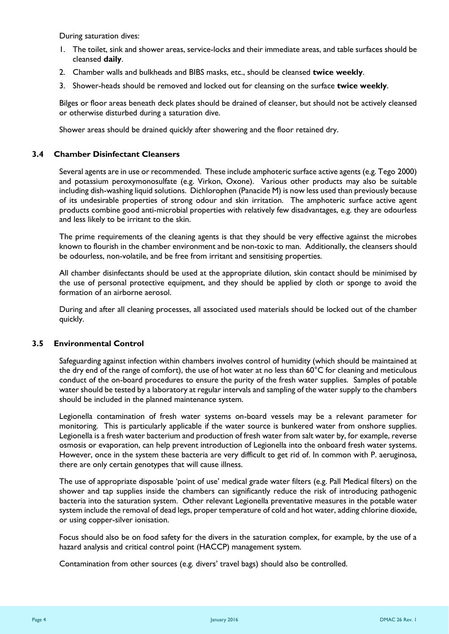During saturation dives:

- 1. The toilet, sink and shower areas, service-locks and their immediate areas, and table surfaces should be cleansed **daily**.
- 2. Chamber walls and bulkheads and BIBS masks, etc., should be cleansed **twice weekly**.
- 3. Shower-heads should be removed and locked out for cleansing on the surface **twice weekly**.

Bilges or floor areas beneath deck plates should be drained of cleanser, but should not be actively cleansed or otherwise disturbed during a saturation dive.

Shower areas should be drained quickly after showering and the floor retained dry.

#### **3.4 Chamber Disinfectant Cleansers**

Several agents are in use or recommended. These include amphoteric surface active agents (e.g. Tego 2000) and potassium peroxymonosulfate (e.g. Virkon, Oxone). Various other products may also be suitable including dish-washing liquid solutions. Dichlorophen (Panacide M) is now less used than previously because of its undesirable properties of strong odour and skin irritation. The amphoteric surface active agent products combine good anti-microbial properties with relatively few disadvantages, e.g. they are odourless and less likely to be irritant to the skin.

The prime requirements of the cleaning agents is that they should be very effective against the microbes known to flourish in the chamber environment and be non-toxic to man. Additionally, the cleansers should be odourless, non-volatile, and be free from irritant and sensitising properties.

All chamber disinfectants should be used at the appropriate dilution, skin contact should be minimised by the use of personal protective equipment, and they should be applied by cloth or sponge to avoid the formation of an airborne aerosol.

During and after all cleaning processes, all associated used materials should be locked out of the chamber quickly.

#### **3.5 Environmental Control**

Safeguarding against infection within chambers involves control of humidity (which should be maintained at the dry end of the range of comfort), the use of hot water at no less than  $60^{\circ}$ C for cleaning and meticulous conduct of the on-board procedures to ensure the purity of the fresh water supplies. Samples of potable water should be tested by a laboratory at regular intervals and sampling of the water supply to the chambers should be included in the planned maintenance system.

Legionella contamination of fresh water systems on-board vessels may be a relevant parameter for monitoring. This is particularly applicable if the water source is bunkered water from onshore supplies. Legionella is a fresh water bacterium and production of fresh water from salt water by, for example, reverse osmosis or evaporation, can help prevent introduction of Legionella into the onboard fresh water systems. However, once in the system these bacteria are very difficult to get rid of. In common with P. aeruginosa, there are only certain genotypes that will cause illness.

The use of appropriate disposable 'point of use' medical grade water filters (e.g. Pall Medical filters) on the shower and tap supplies inside the chambers can significantly reduce the risk of introducing pathogenic bacteria into the saturation system. Other relevant Legionella preventative measures in the potable water system include the removal of dead legs, proper temperature of cold and hot water, adding chlorine dioxide, or using copper-silver ionisation.

Focus should also be on food safety for the divers in the saturation complex, for example, by the use of a hazard analysis and critical control point (HACCP) management system.

Contamination from other sources (e.g. divers' travel bags) should also be controlled.